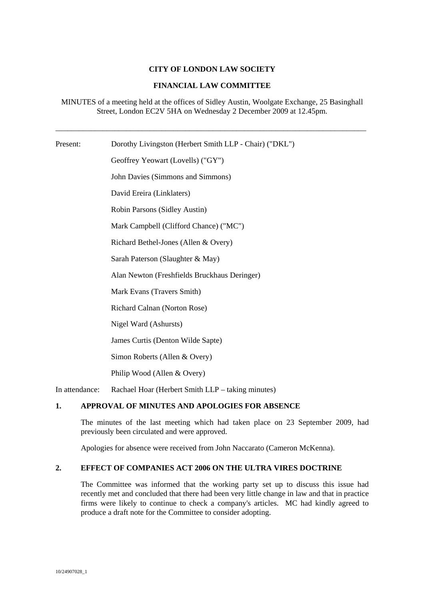# **CITY OF LONDON LAW SOCIETY**

# **FINANCIAL LAW COMMITTEE**

MINUTES of a meeting held at the offices of Sidley Austin, Woolgate Exchange, 25 Basinghall Street, London EC2V 5HA on Wednesday 2 December 2009 at 12.45pm.

\_\_\_\_\_\_\_\_\_\_\_\_\_\_\_\_\_\_\_\_\_\_\_\_\_\_\_\_\_\_\_\_\_\_\_\_\_\_\_\_\_\_\_\_\_\_\_\_\_\_\_\_\_\_\_\_\_\_\_\_\_\_\_\_\_\_\_\_\_\_\_\_\_\_\_\_\_\_\_

Present: Dorothy Livingston (Herbert Smith LLP - Chair) ("DKL") Geoffrey Yeowart (Lovells) ("GY") John Davies (Simmons and Simmons) David Ereira (Linklaters) Robin Parsons (Sidley Austin) Mark Campbell (Clifford Chance) ("MC") Richard Bethel-Jones (Allen & Overy) Sarah Paterson (Slaughter & May) Alan Newton (Freshfields Bruckhaus Deringer) Mark Evans (Travers Smith) Richard Calnan (Norton Rose) Nigel Ward (Ashursts) James Curtis (Denton Wilde Sapte) Simon Roberts (Allen & Overy) Philip Wood (Allen & Overy) In attendance: Rachael Hoar (Herbert Smith LLP – taking minutes)

# **1. APPROVAL OF MINUTES AND APOLOGIES FOR ABSENCE**

The minutes of the last meeting which had taken place on 23 September 2009, had previously been circulated and were approved.

Apologies for absence were received from John Naccarato (Cameron McKenna).

# **2. EFFECT OF COMPANIES ACT 2006 ON THE ULTRA VIRES DOCTRINE**

The Committee was informed that the working party set up to discuss this issue had recently met and concluded that there had been very little change in law and that in practice firms were likely to continue to check a company's articles. MC had kindly agreed to produce a draft note for the Committee to consider adopting.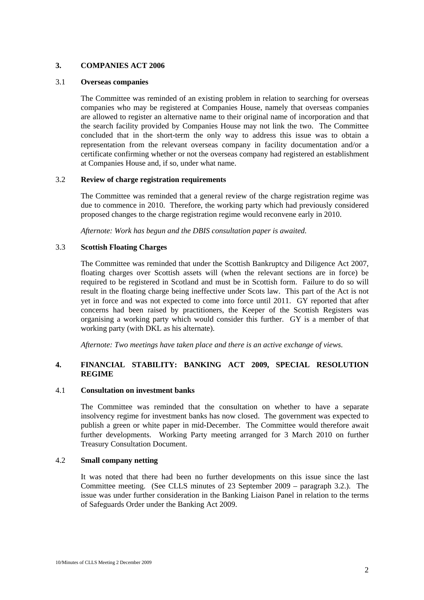# **3. COMPANIES ACT 2006**

### 3.1 **Overseas companies**

The Committee was reminded of an existing problem in relation to searching for overseas companies who may be registered at Companies House, namely that overseas companies are allowed to register an alternative name to their original name of incorporation and that the search facility provided by Companies House may not link the two. The Committee concluded that in the short-term the only way to address this issue was to obtain a representation from the relevant overseas company in facility documentation and/or a certificate confirming whether or not the overseas company had registered an establishment at Companies House and, if so, under what name.

### 3.2 **Review of charge registration requirements**

The Committee was reminded that a general review of the charge registration regime was due to commence in 2010. Therefore, the working party which had previously considered proposed changes to the charge registration regime would reconvene early in 2010.

*Afternote: Work has begun and the DBIS consultation paper is awaited.* 

### 3.3 **Scottish Floating Charges**

The Committee was reminded that under the Scottish Bankruptcy and Diligence Act 2007, floating charges over Scottish assets will (when the relevant sections are in force) be required to be registered in Scotland and must be in Scottish form. Failure to do so will result in the floating charge being ineffective under Scots law. This part of the Act is not yet in force and was not expected to come into force until 2011. GY reported that after concerns had been raised by practitioners, the Keeper of the Scottish Registers was organising a working party which would consider this further. GY is a member of that working party (with DKL as his alternate).

*Afternote: Two meetings have taken place and there is an active exchange of views.* 

# **4. FINANCIAL STABILITY: BANKING ACT 2009, SPECIAL RESOLUTION REGIME**

### 4.1 **Consultation on investment banks**

The Committee was reminded that the consultation on whether to have a separate insolvency regime for investment banks has now closed. The government was expected to publish a green or white paper in mid-December. The Committee would therefore await further developments. Working Party meeting arranged for 3 March 2010 on further Treasury Consultation Document.

### 4.2 **Small company netting**

It was noted that there had been no further developments on this issue since the last Committee meeting. (See CLLS minutes of 23 September 2009 – paragraph 3.2.). The issue was under further consideration in the Banking Liaison Panel in relation to the terms of Safeguards Order under the Banking Act 2009.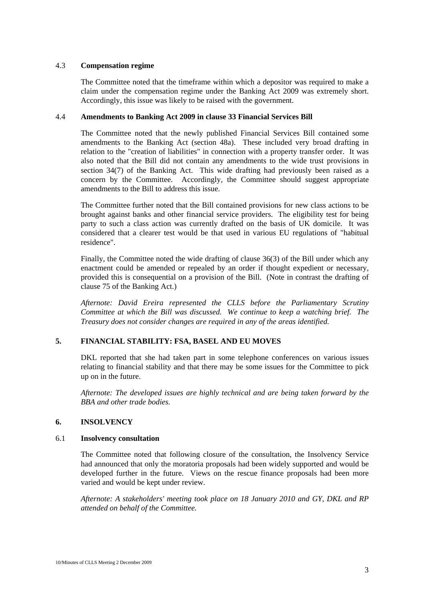### 4.3 **Compensation regime**

The Committee noted that the timeframe within which a depositor was required to make a claim under the compensation regime under the Banking Act 2009 was extremely short. Accordingly, this issue was likely to be raised with the government.

### 4.4 **Amendments to Banking Act 2009 in clause 33 Financial Services Bill**

The Committee noted that the newly published Financial Services Bill contained some amendments to the Banking Act (section 48a). These included very broad drafting in relation to the "creation of liabilities" in connection with a property transfer order. It was also noted that the Bill did not contain any amendments to the wide trust provisions in section 34(7) of the Banking Act. This wide drafting had previously been raised as a concern by the Committee. Accordingly, the Committee should suggest appropriate amendments to the Bill to address this issue.

The Committee further noted that the Bill contained provisions for new class actions to be brought against banks and other financial service providers. The eligibility test for being party to such a class action was currently drafted on the basis of UK domicile. It was considered that a clearer test would be that used in various EU regulations of "habitual residence".

Finally, the Committee noted the wide drafting of clause 36(3) of the Bill under which any enactment could be amended or repealed by an order if thought expedient or necessary, provided this is consequential on a provision of the Bill. (Note in contrast the drafting of clause 75 of the Banking Act.)

*Afternote: David Ereira represented the CLLS before the Parliamentary Scrutiny Committee at which the Bill was discussed. We continue to keep a watching brief. The Treasury does not consider changes are required in any of the areas identified.* 

# **5. FINANCIAL STABILITY: FSA, BASEL AND EU MOVES**

DKL reported that she had taken part in some telephone conferences on various issues relating to financial stability and that there may be some issues for the Committee to pick up on in the future.

*Afternote: The developed issues are highly technical and are being taken forward by the BBA and other trade bodies.* 

# **6. INSOLVENCY**

### 6.1 **Insolvency consultation**

The Committee noted that following closure of the consultation, the Insolvency Service had announced that only the moratoria proposals had been widely supported and would be developed further in the future. Views on the rescue finance proposals had been more varied and would be kept under review.

*Afternote: A stakeholders' meeting took place on 18 January 2010 and GY, DKL and RP attended on behalf of the Committee.*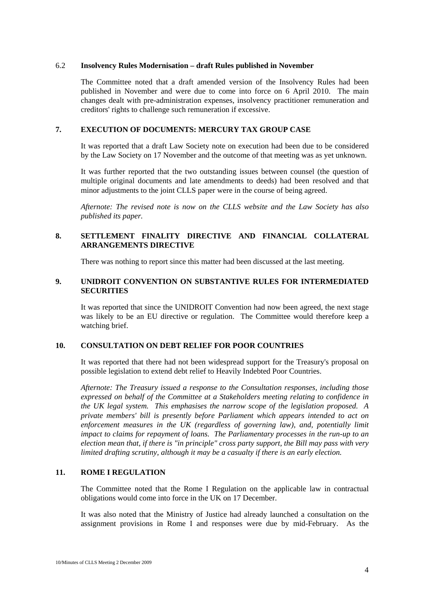### 6.2 **Insolvency Rules Modernisation – draft Rules published in November**

The Committee noted that a draft amended version of the Insolvency Rules had been published in November and were due to come into force on 6 April 2010. The main changes dealt with pre-administration expenses, insolvency practitioner remuneration and creditors' rights to challenge such remuneration if excessive.

# **7. EXECUTION OF DOCUMENTS: MERCURY TAX GROUP CASE**

It was reported that a draft Law Society note on execution had been due to be considered by the Law Society on 17 November and the outcome of that meeting was as yet unknown.

It was further reported that the two outstanding issues between counsel (the question of multiple original documents and late amendments to deeds) had been resolved and that minor adjustments to the joint CLLS paper were in the course of being agreed.

*Afternote: The revised note is now on the CLLS website and the Law Society has also published its paper.* 

# **8. SETTLEMENT FINALITY DIRECTIVE AND FINANCIAL COLLATERAL ARRANGEMENTS DIRECTIVE**

There was nothing to report since this matter had been discussed at the last meeting.

# **9. UNIDROIT CONVENTION ON SUBSTANTIVE RULES FOR INTERMEDIATED SECURITIES**

It was reported that since the UNIDROIT Convention had now been agreed, the next stage was likely to be an EU directive or regulation. The Committee would therefore keep a watching brief.

# **10. CONSULTATION ON DEBT RELIEF FOR POOR COUNTRIES**

It was reported that there had not been widespread support for the Treasury's proposal on possible legislation to extend debt relief to Heavily Indebted Poor Countries.

*Afternote: The Treasury issued a response to the Consultation responses, including those expressed on behalf of the Committee at a Stakeholders meeting relating to confidence in the UK legal system. This emphasises the narrow scope of the legislation proposed. A private members' bill is presently before Parliament which appears intended to act on enforcement measures in the UK (regardless of governing law), and, potentially limit impact to claims for repayment of loans. The Parliamentary processes in the run-up to an election mean that, if there is "in principle" cross party support, the Bill may pass with very limited drafting scrutiny, although it may be a casualty if there is an early election.* 

# **11. ROME I REGULATION**

The Committee noted that the Rome I Regulation on the applicable law in contractual obligations would come into force in the UK on 17 December.

It was also noted that the Ministry of Justice had already launched a consultation on the assignment provisions in Rome I and responses were due by mid-February. As the